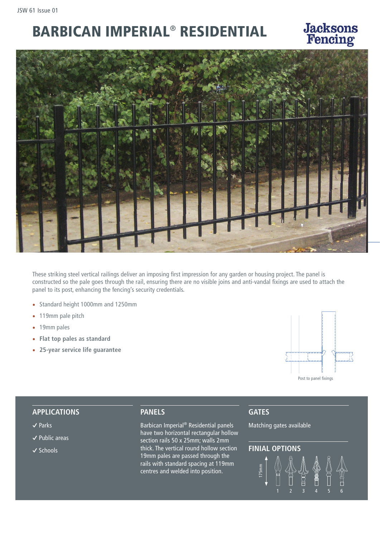# BARBICAN IMPERIAL® RESIDENTIAL



These striking steel vertical railings deliver an imposing first impression for any garden or housing project. The panel is constructed so the pale goes through the rail, ensuring there are no visible joins and anti-vandal fixings are used to attach the panel to its post, enhancing the fencing's security credentials.

- Standard height 1000mm and 1250mm
- 119mm pale pitch
- 19mm pales
- **Flat top pales as standard**
- **25-year service life guarantee**



#### **APPLICATIONS**

- **�** Parks
- **�** Public areas
- **�** Schools

### **PANELS**

Barbican Imperial® Residential panels have two horizontal rectangular hollow section rails 50 x 25mm; walls 2mm thick. The vertical round hollow section 19mm pales are passed through the rails with standard spacing at 119mm centres and welded into position.

# **GATES**

Matching gates available

# **FINIAL OPTIONS**